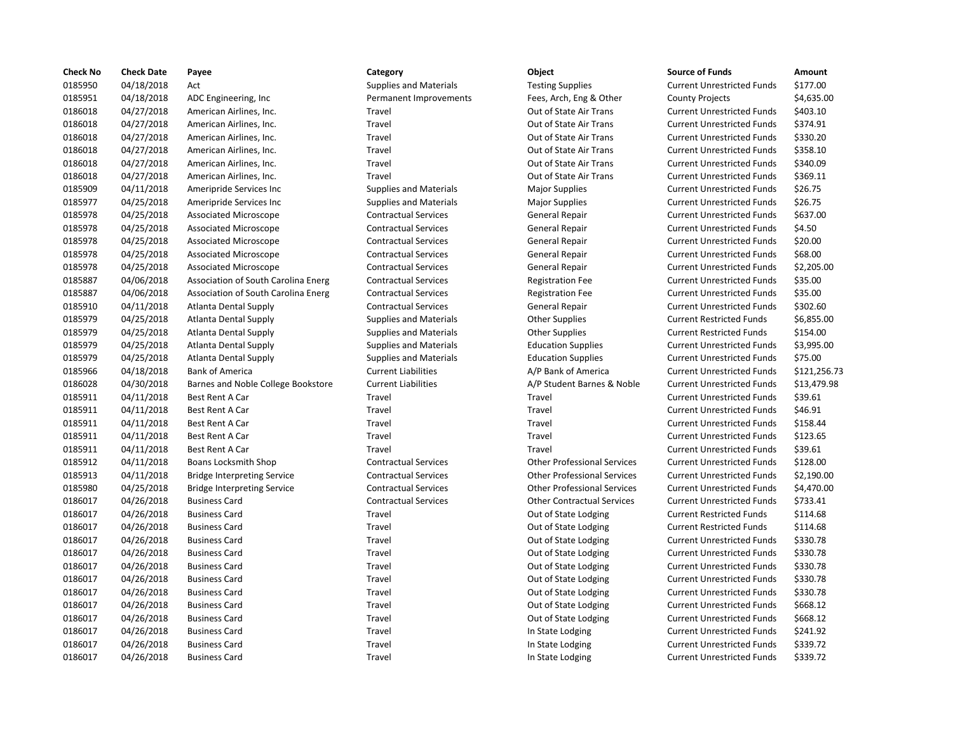| <b>Check No</b> | <b>Check Date</b> | Payee                               | Category                      | <b>Object</b>                      | <b>Source of Funds</b>            | Amount    |
|-----------------|-------------------|-------------------------------------|-------------------------------|------------------------------------|-----------------------------------|-----------|
| 0185950         | 04/18/2018        | Act                                 | <b>Supplies and Materials</b> | <b>Testing Supplies</b>            | <b>Current Unrestricted Funds</b> | \$177.00  |
| 0185951         | 04/18/2018        | ADC Engineering, Inc                | Permanent Improvements        | Fees, Arch, Eng & Other            | <b>County Projects</b>            | \$4,635.0 |
| 0186018         | 04/27/2018        | American Airlines, Inc.             | Travel                        | Out of State Air Trans             | <b>Current Unrestricted Funds</b> | \$403.10  |
| 0186018         | 04/27/2018        | American Airlines, Inc.             | Travel                        | Out of State Air Trans             | <b>Current Unrestricted Funds</b> | \$374.91  |
| 0186018         | 04/27/2018        | American Airlines, Inc.             | Travel                        | Out of State Air Trans             | <b>Current Unrestricted Funds</b> | \$330.20  |
| 0186018         | 04/27/2018        | American Airlines, Inc.             | Travel                        | Out of State Air Trans             | <b>Current Unrestricted Funds</b> | \$358.10  |
| 0186018         | 04/27/2018        | American Airlines, Inc.             | Travel                        | Out of State Air Trans             | <b>Current Unrestricted Funds</b> | \$340.09  |
| 0186018         | 04/27/2018        | American Airlines, Inc.             | Travel                        | Out of State Air Trans             | <b>Current Unrestricted Funds</b> | \$369.11  |
| 0185909         | 04/11/2018        | Ameripride Services Inc             | <b>Supplies and Materials</b> | <b>Major Supplies</b>              | <b>Current Unrestricted Funds</b> | \$26.75   |
| 0185977         | 04/25/2018        | Ameripride Services Inc             | <b>Supplies and Materials</b> | <b>Major Supplies</b>              | <b>Current Unrestricted Funds</b> | \$26.75   |
| 0185978         | 04/25/2018        | <b>Associated Microscope</b>        | <b>Contractual Services</b>   | General Repair                     | <b>Current Unrestricted Funds</b> | \$637.00  |
| 0185978         | 04/25/2018        | <b>Associated Microscope</b>        | <b>Contractual Services</b>   | General Repair                     | <b>Current Unrestricted Funds</b> | \$4.50    |
| 0185978         | 04/25/2018        | Associated Microscope               | <b>Contractual Services</b>   | <b>General Repair</b>              | <b>Current Unrestricted Funds</b> | \$20.00   |
| 0185978         | 04/25/2018        | <b>Associated Microscope</b>        | <b>Contractual Services</b>   | <b>General Repair</b>              | <b>Current Unrestricted Funds</b> | \$68.00   |
| 0185978         | 04/25/2018        | <b>Associated Microscope</b>        | <b>Contractual Services</b>   | General Repair                     | <b>Current Unrestricted Funds</b> | \$2,205.0 |
| 0185887         | 04/06/2018        | Association of South Carolina Energ | <b>Contractual Services</b>   | <b>Registration Fee</b>            | <b>Current Unrestricted Funds</b> | \$35.00   |
| 0185887         | 04/06/2018        | Association of South Carolina Energ | <b>Contractual Services</b>   | <b>Registration Fee</b>            | <b>Current Unrestricted Funds</b> | \$35.00   |
| 0185910         | 04/11/2018        | <b>Atlanta Dental Supply</b>        | <b>Contractual Services</b>   | General Repair                     | <b>Current Unrestricted Funds</b> | \$302.60  |
| 0185979         | 04/25/2018        | Atlanta Dental Supply               | <b>Supplies and Materials</b> | <b>Other Supplies</b>              | <b>Current Restricted Funds</b>   | \$6,855.0 |
| 0185979         | 04/25/2018        | Atlanta Dental Supply               | <b>Supplies and Materials</b> | <b>Other Supplies</b>              | <b>Current Restricted Funds</b>   | \$154.00  |
| 0185979         | 04/25/2018        | <b>Atlanta Dental Supply</b>        | <b>Supplies and Materials</b> | <b>Education Supplies</b>          | <b>Current Unrestricted Funds</b> | \$3,995.0 |
| 0185979         | 04/25/2018        | Atlanta Dental Supply               | <b>Supplies and Materials</b> | <b>Education Supplies</b>          | <b>Current Unrestricted Funds</b> | \$75.00   |
| 0185966         | 04/18/2018        | <b>Bank of America</b>              | <b>Current Liabilities</b>    | A/P Bank of America                | <b>Current Unrestricted Funds</b> | \$121,25  |
| 0186028         | 04/30/2018        | Barnes and Noble College Bookstore  | <b>Current Liabilities</b>    | A/P Student Barnes & Noble         | <b>Current Unrestricted Funds</b> | \$13,479  |
| 0185911         | 04/11/2018        | Best Rent A Car                     | Travel                        | Travel                             | <b>Current Unrestricted Funds</b> | \$39.61   |
| 0185911         | 04/11/2018        | Best Rent A Car                     | Travel                        | Travel                             | <b>Current Unrestricted Funds</b> | \$46.91   |
| 0185911         | 04/11/2018        | Best Rent A Car                     | Travel                        | Travel                             | <b>Current Unrestricted Funds</b> | \$158.44  |
| 0185911         | 04/11/2018        | Best Rent A Car                     | Travel                        | Travel                             | <b>Current Unrestricted Funds</b> | \$123.65  |
| 0185911         | 04/11/2018        | Best Rent A Car                     | Travel                        | Travel                             | <b>Current Unrestricted Funds</b> | \$39.61   |
| 0185912         | 04/11/2018        | <b>Boans Locksmith Shop</b>         | <b>Contractual Services</b>   | <b>Other Professional Services</b> | <b>Current Unrestricted Funds</b> | \$128.00  |
| 0185913         | 04/11/2018        | <b>Bridge Interpreting Service</b>  | <b>Contractual Services</b>   | <b>Other Professional Services</b> | <b>Current Unrestricted Funds</b> | \$2,190.0 |
| 0185980         | 04/25/2018        | <b>Bridge Interpreting Service</b>  | <b>Contractual Services</b>   | <b>Other Professional Services</b> | <b>Current Unrestricted Funds</b> | \$4,470.0 |
| 0186017         | 04/26/2018        | <b>Business Card</b>                | <b>Contractual Services</b>   | <b>Other Contractual Services</b>  | <b>Current Unrestricted Funds</b> | \$733.41  |
| 0186017         | 04/26/2018        | <b>Business Card</b>                | Travel                        | Out of State Lodging               | <b>Current Restricted Funds</b>   | \$114.68  |
| 0186017         | 04/26/2018        | <b>Business Card</b>                | Travel                        | Out of State Lodging               | <b>Current Restricted Funds</b>   | \$114.68  |
| 0186017         | 04/26/2018        | <b>Business Card</b>                | Travel                        | Out of State Lodging               | <b>Current Unrestricted Funds</b> | \$330.78  |
| 0186017         | 04/26/2018        | <b>Business Card</b>                | Travel                        | Out of State Lodging               | <b>Current Unrestricted Funds</b> | \$330.78  |
| 0186017         | 04/26/2018        | <b>Business Card</b>                | Travel                        | Out of State Lodging               | <b>Current Unrestricted Funds</b> | \$330.78  |
| 0186017         | 04/26/2018        | <b>Business Card</b>                | Travel                        | Out of State Lodging               | <b>Current Unrestricted Funds</b> | \$330.78  |
| 0186017         | 04/26/2018        | <b>Business Card</b>                | Travel                        | Out of State Lodging               | <b>Current Unrestricted Funds</b> | \$330.78  |
| 0186017         | 04/26/2018        | <b>Business Card</b>                | Travel                        | Out of State Lodging               | <b>Current Unrestricted Funds</b> | \$668.12  |
| 0186017         | 04/26/2018        | <b>Business Card</b>                | Travel                        | Out of State Lodging               | <b>Current Unrestricted Funds</b> | \$668.12  |
| 0186017         | 04/26/2018        | <b>Business Card</b>                | Travel                        | In State Lodging                   | <b>Current Unrestricted Funds</b> | \$241.92  |
| 0186017         | 04/26/2018        | <b>Business Card</b>                | Travel                        | In State Lodging                   | <b>Current Unrestricted Funds</b> | \$339.72  |
| 0186017         | 04/26/2018        | <b>Business Card</b>                | Travel                        | In State Lodging                   | <b>Current Unrestricted Funds</b> | \$339.72  |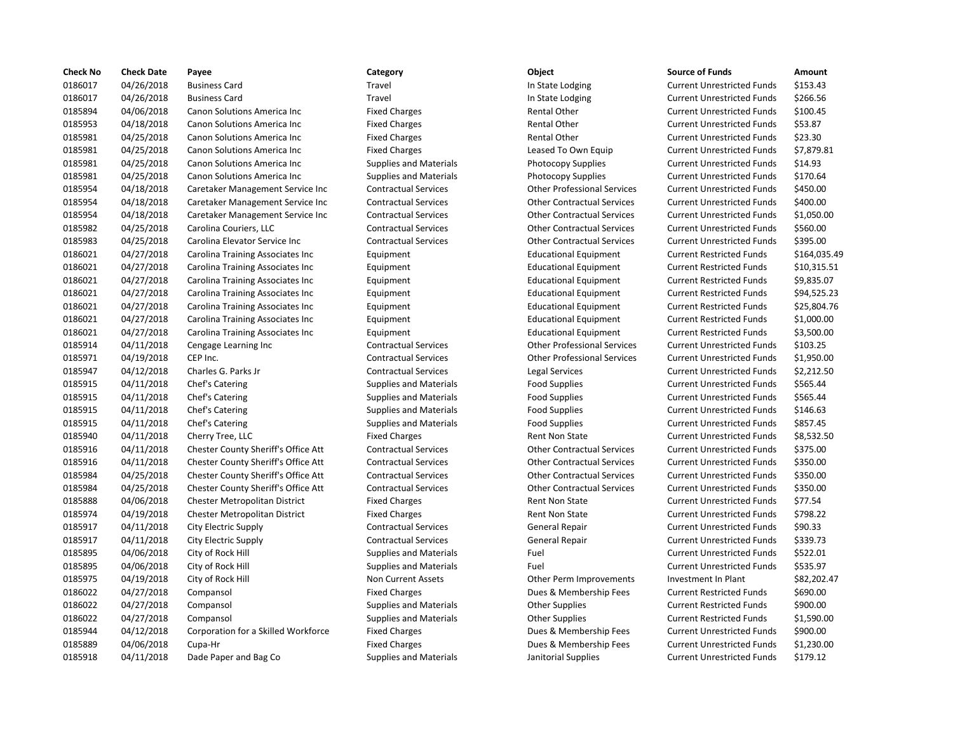| <b>Check No</b> | <b>Check Date</b> | Payee                               | Category                      | Object                             | <b>Source of Funds</b>            | Amount       |
|-----------------|-------------------|-------------------------------------|-------------------------------|------------------------------------|-----------------------------------|--------------|
| 0186017         | 04/26/2018        | <b>Business Card</b>                | Travel                        | In State Lodging                   | <b>Current Unrestricted Funds</b> | \$153.43     |
| 0186017         | 04/26/2018        | <b>Business Card</b>                | Travel                        | In State Lodging                   | <b>Current Unrestricted Funds</b> | \$266.56     |
| 0185894         | 04/06/2018        | Canon Solutions America Inc         | <b>Fixed Charges</b>          | <b>Rental Other</b>                | <b>Current Unrestricted Funds</b> | \$100.45     |
| 0185953         | 04/18/2018        | Canon Solutions America Inc         | <b>Fixed Charges</b>          | <b>Rental Other</b>                | <b>Current Unrestricted Funds</b> | \$53.87      |
| 0185981         | 04/25/2018        | Canon Solutions America Inc         | <b>Fixed Charges</b>          | <b>Rental Other</b>                | <b>Current Unrestricted Funds</b> | \$23.30      |
| 0185981         | 04/25/2018        | Canon Solutions America Inc         | <b>Fixed Charges</b>          | Leased To Own Equip                | <b>Current Unrestricted Funds</b> | \$7,879.81   |
| 0185981         | 04/25/2018        | Canon Solutions America Inc         | <b>Supplies and Materials</b> | <b>Photocopy Supplies</b>          | <b>Current Unrestricted Funds</b> | \$14.93      |
| 0185981         | 04/25/2018        | Canon Solutions America Inc         | <b>Supplies and Materials</b> | <b>Photocopy Supplies</b>          | <b>Current Unrestricted Funds</b> | \$170.64     |
| 0185954         | 04/18/2018        | Caretaker Management Service Inc    | <b>Contractual Services</b>   | <b>Other Professional Services</b> | <b>Current Unrestricted Funds</b> | \$450.00     |
| 0185954         | 04/18/2018        | Caretaker Management Service Inc    | <b>Contractual Services</b>   | <b>Other Contractual Services</b>  | <b>Current Unrestricted Funds</b> | \$400.00     |
| 0185954         | 04/18/2018        | Caretaker Management Service Inc    | <b>Contractual Services</b>   | <b>Other Contractual Services</b>  | <b>Current Unrestricted Funds</b> | \$1,050.00   |
| 0185982         | 04/25/2018        | Carolina Couriers, LLC              | <b>Contractual Services</b>   | <b>Other Contractual Services</b>  | <b>Current Unrestricted Funds</b> | \$560.00     |
| 0185983         | 04/25/2018        | Carolina Elevator Service Inc       | <b>Contractual Services</b>   | <b>Other Contractual Services</b>  | <b>Current Unrestricted Funds</b> | \$395.00     |
| 0186021         | 04/27/2018        | Carolina Training Associates Inc    | Equipment                     | <b>Educational Equipment</b>       | <b>Current Restricted Funds</b>   | \$164,035.49 |
| 0186021         | 04/27/2018        | Carolina Training Associates Inc    | Equipment                     | <b>Educational Equipment</b>       | <b>Current Restricted Funds</b>   | \$10,315.51  |
| 0186021         | 04/27/2018        | Carolina Training Associates Inc    | Equipment                     | <b>Educational Equipment</b>       | <b>Current Restricted Funds</b>   | \$9,835.07   |
| 0186021         | 04/27/2018        | Carolina Training Associates Inc    | Equipment                     | <b>Educational Equipment</b>       | <b>Current Restricted Funds</b>   | \$94,525.23  |
| 0186021         | 04/27/2018        | Carolina Training Associates Inc    | Equipment                     | <b>Educational Equipment</b>       | <b>Current Restricted Funds</b>   | \$25,804.76  |
| 0186021         | 04/27/2018        | Carolina Training Associates Inc    | Equipment                     | <b>Educational Equipment</b>       | <b>Current Restricted Funds</b>   | \$1,000.00   |
| 0186021         | 04/27/2018        | Carolina Training Associates Inc    | Equipment                     | <b>Educational Equipment</b>       | <b>Current Restricted Funds</b>   | \$3,500.00   |
| 0185914         | 04/11/2018        | Cengage Learning Inc                | <b>Contractual Services</b>   | <b>Other Professional Services</b> | <b>Current Unrestricted Funds</b> | \$103.25     |
| 0185971         | 04/19/2018        | CEP Inc.                            | <b>Contractual Services</b>   | <b>Other Professional Services</b> | <b>Current Unrestricted Funds</b> | \$1,950.00   |
| 0185947         | 04/12/2018        | Charles G. Parks Jr                 | <b>Contractual Services</b>   | Legal Services                     | <b>Current Unrestricted Funds</b> | \$2,212.50   |
| 0185915         | 04/11/2018        | Chef's Catering                     | <b>Supplies and Materials</b> | <b>Food Supplies</b>               | <b>Current Unrestricted Funds</b> | \$565.44     |
| 0185915         | 04/11/2018        | Chef's Catering                     | <b>Supplies and Materials</b> | <b>Food Supplies</b>               | <b>Current Unrestricted Funds</b> | \$565.44     |
| 0185915         | 04/11/2018        | Chef's Catering                     | <b>Supplies and Materials</b> | <b>Food Supplies</b>               | <b>Current Unrestricted Funds</b> | \$146.63     |
| 0185915         | 04/11/2018        | Chef's Catering                     | <b>Supplies and Materials</b> | <b>Food Supplies</b>               | <b>Current Unrestricted Funds</b> | \$857.45     |
| 0185940         | 04/11/2018        | Cherry Tree, LLC                    | <b>Fixed Charges</b>          | <b>Rent Non State</b>              | <b>Current Unrestricted Funds</b> | \$8,532.50   |
| 0185916         | 04/11/2018        | Chester County Sheriff's Office Att | <b>Contractual Services</b>   | <b>Other Contractual Services</b>  | <b>Current Unrestricted Funds</b> | \$375.00     |
| 0185916         | 04/11/2018        | Chester County Sheriff's Office Att | <b>Contractual Services</b>   | <b>Other Contractual Services</b>  | <b>Current Unrestricted Funds</b> | \$350.00     |
| 0185984         | 04/25/2018        | Chester County Sheriff's Office Att | <b>Contractual Services</b>   | <b>Other Contractual Services</b>  | <b>Current Unrestricted Funds</b> | \$350.00     |
| 0185984         | 04/25/2018        | Chester County Sheriff's Office Att | <b>Contractual Services</b>   | <b>Other Contractual Services</b>  | <b>Current Unrestricted Funds</b> | \$350.00     |
| 0185888         | 04/06/2018        | Chester Metropolitan District       | <b>Fixed Charges</b>          | <b>Rent Non State</b>              | <b>Current Unrestricted Funds</b> | \$77.54      |
| 0185974         | 04/19/2018        | Chester Metropolitan District       | <b>Fixed Charges</b>          | Rent Non State                     | <b>Current Unrestricted Funds</b> | \$798.22     |
| 0185917         | 04/11/2018        | City Electric Supply                | <b>Contractual Services</b>   | General Repair                     | <b>Current Unrestricted Funds</b> | \$90.33      |
| 0185917         | 04/11/2018        | City Electric Supply                | <b>Contractual Services</b>   | <b>General Repair</b>              | <b>Current Unrestricted Funds</b> | \$339.73     |
| 0185895         | 04/06/2018        | City of Rock Hill                   | <b>Supplies and Materials</b> | Fuel                               | <b>Current Unrestricted Funds</b> | \$522.01     |
| 0185895         | 04/06/2018        | City of Rock Hill                   | <b>Supplies and Materials</b> | Fuel                               | <b>Current Unrestricted Funds</b> | \$535.97     |
| 0185975         | 04/19/2018        | City of Rock Hill                   | Non Current Assets            | Other Perm Improvements            | Investment In Plant               | \$82,202.47  |
| 0186022         | 04/27/2018        | Compansol                           | <b>Fixed Charges</b>          | Dues & Membership Fees             | <b>Current Restricted Funds</b>   | \$690.00     |
| 0186022         | 04/27/2018        | Compansol                           | <b>Supplies and Materials</b> | <b>Other Supplies</b>              | <b>Current Restricted Funds</b>   | \$900.00     |
| 0186022         | 04/27/2018        | Compansol                           | <b>Supplies and Materials</b> | <b>Other Supplies</b>              | <b>Current Restricted Funds</b>   | \$1,590.00   |
| 0185944         | 04/12/2018        | Corporation for a Skilled Workforce | <b>Fixed Charges</b>          | Dues & Membership Fees             | <b>Current Unrestricted Funds</b> | \$900.00     |
| 0185889         | 04/06/2018        | Cupa-Hr                             | <b>Fixed Charges</b>          | Dues & Membership Fees             | <b>Current Unrestricted Funds</b> | \$1,230.00   |
| 0185918         | 04/11/2018        | Dade Paper and Bag Co               | <b>Supplies and Materials</b> | Janitorial Supplies                | <b>Current Unrestricted Funds</b> | \$179.12     |

# Travel **1202018 In State Lodging Current Unrestricted Funds** \$153.43 Travel **18601** 1n State Lodging Current Unrestricted Funds \$266.56 Fixed Charges **100.45 Rental Other Current Unrestricted Funds** \$100.45 Fixed Charges **1.2018 1.2018 Canon Solutions America** Inc. Fixed Charges Rental Other Current Unrestricted Funds \$53.87 Fixed Charges **12.330 Rental Other Current Unrestricted Funds** \$23.30 Fixed Charges **Canon Solutions America Inc.** Current Unrestricted Funds \$7,879.81 Supplies and Materials **Example 2018** Photocopy Supplies **Current Unrestricted Funds** \$14.93 Supplies and Materials **Canon Supplies Current Unrestricted Funds** \$170.64 0185954 04/18/2018 Caretaker Management Service Inc Contractual Services Other Professional Services Current Unrestricted Funds \$450.00 Contractual Services **Careta Contractual Services** Current Unrestricted Funds \$400.00 Contractual Services **Other Contractual Services** Current Unrestricted Funds \$1,050.00 0185982 04/25/2018 Carolina Couriers, LLC Contractual Services Other Contractual Services Current Unrestricted Funds \$560.00 Contractual Services **Other Contractual Services** Current Unrestricted Funds \$395.00 Equipment Educational Equipment Current Restricted Funds \$10,315.51 Equipment 6018601 Educational Equipment Current Restricted Funds \$9,835.07 Equipment Educational Equipment Current Restricted Funds \$94,525.23 Equipment 625,804.76 Equipment Educational Equipment Current Restricted Funds \$1,000.00 Equipment 6018601 Educational Equipment Current Restricted Funds 53,500.00 0185914 04/11/2018 Cengage Learning Inc Contractual Services Other Professional Services Current Unrestricted Funds \$103.25 0185971 04/19/2018 CEP Inc. Contractual Services Other Professional Services Current Unrestricted Funds \$1,950.00 Contractual Services Legal Services Legal Services Current Unrestricted Funds \$2,212.50 0185915 04/11/2018 Chef's Catering Supplies and Materials Food Supplies Current Unrestricted Funds \$565.44 Supplies and Materials **EXECATE:** Food Supplies **Current Unrestricted Funds** \$565.44 Supplies and Materials **EXALL SUPPLIES** Food Supplies Current Unrestricted Funds \$146.63 Supplies and Materials **EXALL SUPPLIES** Food Supplies Current Unrestricted Funds \$857.45 Fixed Charges **Example 2018** Rent Non State Current Unrestricted Funds \$8,532.50 0185916 04/11/2018 Chester County Sheriff's Office Att Contractual Services Other Contractual Services Current Unrestricted Funds \$375.00 0185916 04/11/2018 Chester County Sheriff's Office Att Contractual Services Other Contractual Services Current Unrestricted Funds \$350.00 Contractual Services **Other Contractual Services** Current Unrestricted Funds \$350.00 Contractual Services **Current Contractual Services** Current Unrestricted Funds \$350.00 Fixed Charges **12028 12018 Current Unrestricted Funds** 577.54 Fixed Charges **1998.22 Charges Current Unrestricted Funds** 5798.22 0185917 04/11/2018 City Electric Supply Contractual Services General Repair Current Unrestricted Funds \$90.33 0185917 04/11/2018 City Electric Supply Contractual Services General Repair Current Unrestricted Funds \$339.73 Supplies and Materials **1.2018 Current University of Allen Supplies and Materials Fuel Current Unrestricted Funds** 0185895 04/06/2018 City of Rock Hill Supplies and Materials Fuel Current Unrestricted Funds \$535.97 Non Current Assets **City of Access City of Access** Contemporary City of Rock Hill Ann Current Assets City of Access Other Perm Improvements Investment In Plant \$82,202.47 Fixed Charges **2022 22:2018 Company** Dues & Membership Fees Current Restricted Funds \$690.00 0186022 04/27/2018 Compansol Supplies and Materials Other Supplies Current Restricted Funds \$900.00 Supplies and Materials **Other Supplies Current Restricted Funds** \$1,590.00 Fixed Charges **Corporation Fixed Charges Current Unrestricted Funds** \$900.00 Fixed Charges **1.230.00** Dues & Membership Fees Current Unrestricted Funds \$1,230.00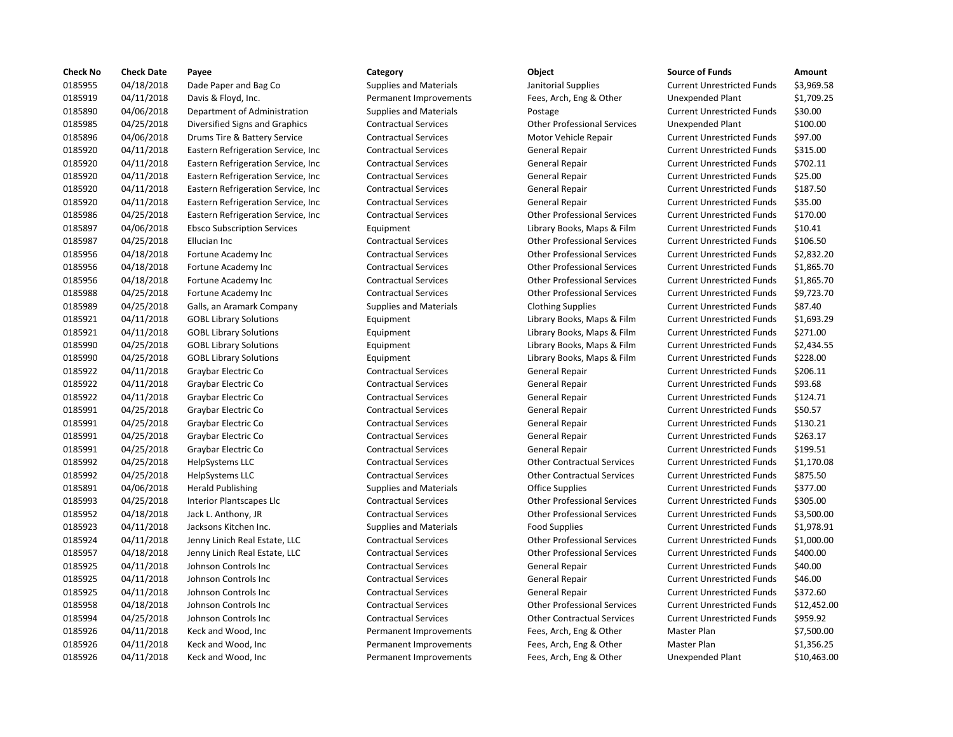| <b>Check No</b> | <b>Check Date</b> | Payee                               | Category                      | Object                             | <b>Source of Funds</b>            | Amount    |
|-----------------|-------------------|-------------------------------------|-------------------------------|------------------------------------|-----------------------------------|-----------|
| 0185955         | 04/18/2018        | Dade Paper and Bag Co               | <b>Supplies and Materials</b> | Janitorial Supplies                | <b>Current Unrestricted Funds</b> | \$3,969.5 |
| 0185919         | 04/11/2018        | Davis & Floyd, Inc.                 | Permanent Improvements        | Fees, Arch, Eng & Other            | <b>Unexpended Plant</b>           | \$1,709.2 |
| 0185890         | 04/06/2018        | Department of Administration        | <b>Supplies and Materials</b> | Postage                            | <b>Current Unrestricted Funds</b> | \$30.00   |
| 0185985         | 04/25/2018        | Diversified Signs and Graphics      | <b>Contractual Services</b>   | <b>Other Professional Services</b> | Unexpended Plant                  | \$100.00  |
| 0185896         | 04/06/2018        | Drums Tire & Battery Service        | <b>Contractual Services</b>   | Motor Vehicle Repair               | <b>Current Unrestricted Funds</b> | \$97.00   |
| 0185920         | 04/11/2018        | Eastern Refrigeration Service, Inc  | <b>Contractual Services</b>   | General Repair                     | <b>Current Unrestricted Funds</b> | \$315.00  |
| 0185920         | 04/11/2018        | Eastern Refrigeration Service, Inc. | <b>Contractual Services</b>   | General Repair                     | <b>Current Unrestricted Funds</b> | \$702.11  |
| 0185920         | 04/11/2018        | Eastern Refrigeration Service, Inc. | <b>Contractual Services</b>   | General Repair                     | <b>Current Unrestricted Funds</b> | \$25.00   |
| 0185920         | 04/11/2018        | Eastern Refrigeration Service, Inc. | <b>Contractual Services</b>   | General Repair                     | <b>Current Unrestricted Funds</b> | \$187.50  |
| 0185920         | 04/11/2018        | Eastern Refrigeration Service, Inc  | <b>Contractual Services</b>   | <b>General Repair</b>              | <b>Current Unrestricted Funds</b> | \$35.00   |
| 0185986         | 04/25/2018        | Eastern Refrigeration Service, Inc. | <b>Contractual Services</b>   | <b>Other Professional Services</b> | <b>Current Unrestricted Funds</b> | \$170.00  |
| 0185897         | 04/06/2018        | <b>Ebsco Subscription Services</b>  | Equipment                     | Library Books, Maps & Film         | <b>Current Unrestricted Funds</b> | \$10.41   |
| 0185987         | 04/25/2018        | Ellucian Inc                        | <b>Contractual Services</b>   | <b>Other Professional Services</b> | <b>Current Unrestricted Funds</b> | \$106.50  |
| 0185956         | 04/18/2018        | Fortune Academy Inc                 | <b>Contractual Services</b>   | <b>Other Professional Services</b> | <b>Current Unrestricted Funds</b> | \$2,832.2 |
| 0185956         | 04/18/2018        | Fortune Academy Inc                 | <b>Contractual Services</b>   | <b>Other Professional Services</b> | <b>Current Unrestricted Funds</b> | \$1,865.7 |
| 0185956         | 04/18/2018        | Fortune Academy Inc                 | <b>Contractual Services</b>   | <b>Other Professional Services</b> | <b>Current Unrestricted Funds</b> | \$1,865.7 |
| 0185988         | 04/25/2018        | Fortune Academy Inc                 | <b>Contractual Services</b>   | <b>Other Professional Services</b> | <b>Current Unrestricted Funds</b> | \$9,723.7 |
| 0185989         | 04/25/2018        | Galls, an Aramark Company           | <b>Supplies and Materials</b> | <b>Clothing Supplies</b>           | <b>Current Unrestricted Funds</b> | \$87.40   |
| 0185921         | 04/11/2018        | <b>GOBL Library Solutions</b>       | Equipment                     | Library Books, Maps & Film         | <b>Current Unrestricted Funds</b> | \$1,693.2 |
| 0185921         | 04/11/2018        | <b>GOBL Library Solutions</b>       | Equipment                     | Library Books, Maps & Film         | <b>Current Unrestricted Funds</b> | \$271.00  |
| 0185990         | 04/25/2018        | <b>GOBL Library Solutions</b>       | Equipment                     | Library Books, Maps & Film         | <b>Current Unrestricted Funds</b> | \$2,434.5 |
| 0185990         | 04/25/2018        | <b>GOBL Library Solutions</b>       | Equipment                     | Library Books, Maps & Film         | <b>Current Unrestricted Funds</b> | \$228.00  |
| 0185922         | 04/11/2018        | Graybar Electric Co                 | <b>Contractual Services</b>   | General Repair                     | <b>Current Unrestricted Funds</b> | \$206.11  |
| 0185922         | 04/11/2018        | Graybar Electric Co                 | <b>Contractual Services</b>   | <b>General Repair</b>              | <b>Current Unrestricted Funds</b> | \$93.68   |
| 0185922         | 04/11/2018        | Graybar Electric Co                 | <b>Contractual Services</b>   | General Repair                     | <b>Current Unrestricted Funds</b> | \$124.71  |
| 0185991         | 04/25/2018        | Graybar Electric Co                 | <b>Contractual Services</b>   | General Repair                     | <b>Current Unrestricted Funds</b> | \$50.57   |
| 0185991         | 04/25/2018        | Graybar Electric Co                 | <b>Contractual Services</b>   | General Repair                     | <b>Current Unrestricted Funds</b> | \$130.21  |
| 0185991         | 04/25/2018        | Graybar Electric Co                 | <b>Contractual Services</b>   | <b>General Repair</b>              | <b>Current Unrestricted Funds</b> | \$263.17  |
| 0185991         | 04/25/2018        | Graybar Electric Co                 | <b>Contractual Services</b>   | <b>General Repair</b>              | <b>Current Unrestricted Funds</b> | \$199.51  |
| 0185992         | 04/25/2018        | HelpSystems LLC                     | <b>Contractual Services</b>   | <b>Other Contractual Services</b>  | <b>Current Unrestricted Funds</b> | \$1,170.0 |
| 0185992         | 04/25/2018        | HelpSystems LLC                     | <b>Contractual Services</b>   | <b>Other Contractual Services</b>  | <b>Current Unrestricted Funds</b> | \$875.50  |
| 0185891         | 04/06/2018        | <b>Herald Publishing</b>            | <b>Supplies and Materials</b> | <b>Office Supplies</b>             | <b>Current Unrestricted Funds</b> | \$377.00  |
| 0185993         | 04/25/2018        | Interior Plantscapes Llc            | <b>Contractual Services</b>   | <b>Other Professional Services</b> | <b>Current Unrestricted Funds</b> | \$305.00  |
| 0185952         | 04/18/2018        | Jack L. Anthony, JR                 | <b>Contractual Services</b>   | <b>Other Professional Services</b> | <b>Current Unrestricted Funds</b> | \$3,500.0 |
| 0185923         | 04/11/2018        | Jacksons Kitchen Inc.               | <b>Supplies and Materials</b> | <b>Food Supplies</b>               | <b>Current Unrestricted Funds</b> | \$1,978.9 |
| 0185924         | 04/11/2018        | Jenny Linich Real Estate, LLC       | <b>Contractual Services</b>   | <b>Other Professional Services</b> | <b>Current Unrestricted Funds</b> | \$1,000.0 |
| 0185957         | 04/18/2018        | Jenny Linich Real Estate, LLC       | <b>Contractual Services</b>   | <b>Other Professional Services</b> | <b>Current Unrestricted Funds</b> | \$400.00  |
| 0185925         | 04/11/2018        | Johnson Controls Inc                | <b>Contractual Services</b>   | <b>General Repair</b>              | <b>Current Unrestricted Funds</b> | \$40.00   |
| 0185925         | 04/11/2018        | Johnson Controls Inc                | <b>Contractual Services</b>   | <b>General Repair</b>              | <b>Current Unrestricted Funds</b> | \$46.00   |
| 0185925         | 04/11/2018        | Johnson Controls Inc                | <b>Contractual Services</b>   | <b>General Repair</b>              | <b>Current Unrestricted Funds</b> | \$372.60  |
| 0185958         | 04/18/2018        | Johnson Controls Inc                | <b>Contractual Services</b>   | <b>Other Professional Services</b> | <b>Current Unrestricted Funds</b> | \$12,452  |
| 0185994         | 04/25/2018        | Johnson Controls Inc                | <b>Contractual Services</b>   | <b>Other Contractual Services</b>  | <b>Current Unrestricted Funds</b> | \$959.92  |
| 0185926         | 04/11/2018        | Keck and Wood, Inc.                 | Permanent Improvements        | Fees, Arch, Eng & Other            | Master Plan                       | \$7,500.0 |
| 0185926         | 04/11/2018        | Keck and Wood, Inc                  | Permanent Improvements        | Fees, Arch, Eng & Other            | Master Plan                       | \$1,356.2 |
| 0185926         | 04/11/2018        | Keck and Wood, Inc                  | Permanent Improvements        | Fees, Arch, Eng & Other            | Unexpended Plant                  | \$10,463  |

# 0185955 04/18/2018 Dade Paper and Bag Co Supplies and Materials Janitorial Supplies Current Unrestricted Funds \$3,969.58 Permanent Improvements Fees, Arch, Eng & Other Unexpended Plant \$1,709.25 0185890 04/06/2018 Department of Administration Supplies and Materials Postage Current Unrestricted Funds \$30.00 0185985 04/25/2018 Diversified Signs and Graphics Contractual Services Other Professional Services Unexpended Plant \$100.00 0185896 04/06/2018 Drums Tire & Battery Service Contractual Services Motor Vehicle Repair Current Unrestricted Funds \$97.00 nc Contractual Services General Repair Current Unrestricted Funds \$315.00 nc Contractual Services General Repair Current Unrestricted Funds \$702.11 nc Contractual Services General Repair Current Unrestricted Funds \$25.00 nc Contractual Services Contractual Services General Repair Current Unrestricted Funds 5187.50 nc Contractual Services Contractual Services General Repair Current Unrestricted Funds \$35.00 0185986 04/25/2018 Eastern Refrigeration Service, Inc Contractual Services Other Professional Services Current Unrestricted Funds \$170.00 Equipment **Example 2018** Library Books, Maps & Film Current Unrestricted Funds \$10.41 0185987 04/25/2018 Ellucian Inc Contractual Services Other Professional Services Current Unrestricted Funds \$106.50 0185956 04/18/2018 Fortune Academy Inc Contractual Services Other Professional Services Current Unrestricted Funds \$2,832.20 Contractual Services **Fortune 2018** Other Professional Services Current Unrestricted Funds \$1,865.70 0185956 04/18/2018 Fortune Academy Inc Contractual Services Other Professional Services Current Unrestricted Funds \$1,865.70 Contractual Services **For Contractual Services** Other Professional Services Current Unrestricted Funds \$9,723.70 Supplies and Materials **Clothing Supplies Current Unrestricted Funds** \$87.40 Equipment Current Library Books, Maps & Film Current Unrestricted Funds \$1,693.29 Equipment Library Books, Maps & Film Current Unrestricted Funds \$271.00 0185990 04/25/2018 GOBL Library Solutions Equipment Library Books, Maps & Film Current Unrestricted Funds \$2,434.55 0185990 04/25/2018 GOBL Library Solutions Equipment Library Books, Maps & Film Current Unrestricted Funds \$228.00 Contractual Services **General Repair** General Repair Current Unrestricted Funds \$206.11 0185922 04/11/2018 Graybar Electric Co Contractual Services General Repair Current Unrestricted Funds \$93.68 Contractual Services **General Repair** General Repair Current Unrestricted Funds \$124.71 Contractual Services **691 Contractual Services** General Repair Current Unrestricted Funds \$50.57 0185991 04/25/2018 Graybar Electric Co Contractual Services General Repair Current Unrestricted Funds \$130.21 Contractual Services **691 Contractual Services** General Repair Current Unrestricted Funds \$263.17 0185991 04/25/2018 Graybar Electric Co Contractual Services General Repair Current Unrestricted Funds \$199.51 0185992 04/25/2018 HelpSystems LLC Contractual Services Other Contractual Services Current Unrestricted Funds \$1,170.08 Contractual Services **Contractual Services** Current Unrestricted Funds \$875.50 Supplies and Materials **Current Current Current Unrestricted Funds** \$377.00 0185993 04/25/2018 Interior Plantscapes Llc Contractual Services Other Professional Services Current Unrestricted Funds \$305.00 0185952 04/18/2018 Jack L. Anthony, JR Contractual Services Other Professional Services Current Unrestricted Funds \$3,500.00 0185923 04/11/2018 Jacksons Kitchen Inc. Supplies and Materials Food Supplies Current Unrestricted Funds \$1,978.91 0185924 04/11/2018 Jenny Linich Real Estate, LLC Contractual Services Other Professional Services Current Unrestricted Funds \$1,000.00 0185957 04/18/2018 Jenny Linich Real Estate, LLC Contractual Services Other Professional Services Current Unrestricted Funds \$400.00 0185925 04/11/2018 Johnson Controls Inc Contractual Services General Repair Current Unrestricted Funds \$40.00 0185925 04/11/2018 Johnson Controls Inc Contractual Services General Repair Current Unrestricted Funds \$46.00 Contractual Services **1202 Contractual Services** General Repair **Current Unrestricted Funds** 5372.60 Contractual Services **12,452.00** Other Professional Services Current Unrestricted Funds \$12,452.00 0185994 04/25/2018 Johnson Controls Inc Contractual Services Other Contractual Services Current Unrestricted Funds \$959.92 Permanent Improvements Fees, Arch, Eng & Other Master Plan \$7,500.00 Permanent Improvements Fees, Arch, Eng & Other Master Plan \$1,356.25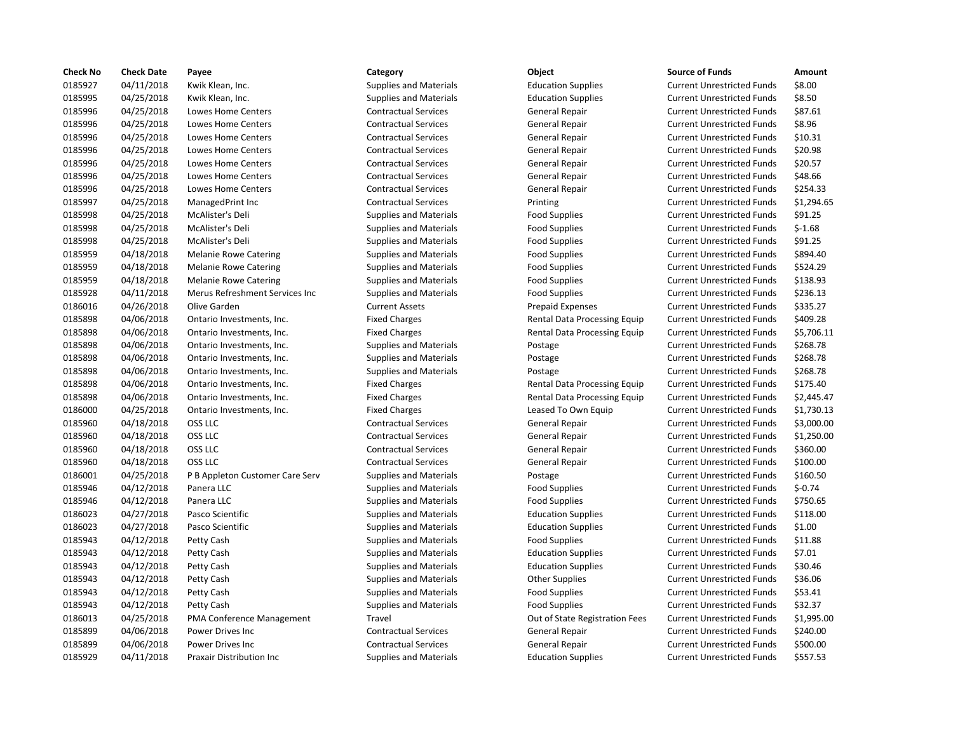| <b>Check No</b> | <b>Check Date</b> | Payee                            | Category                      | Object                         | <b>Source of Funds</b>            | Amount    |
|-----------------|-------------------|----------------------------------|-------------------------------|--------------------------------|-----------------------------------|-----------|
| 0185927         | 04/11/2018        | Kwik Klean, Inc.                 | <b>Supplies and Materials</b> | <b>Education Supplies</b>      | <b>Current Unrestricted Funds</b> | \$8.00    |
| 0185995         | 04/25/2018        | Kwik Klean, Inc.                 | <b>Supplies and Materials</b> | <b>Education Supplies</b>      | <b>Current Unrestricted Funds</b> | \$8.50    |
| 0185996         | 04/25/2018        | Lowes Home Centers               | <b>Contractual Services</b>   | <b>General Repair</b>          | <b>Current Unrestricted Funds</b> | \$87.61   |
| 0185996         | 04/25/2018        | Lowes Home Centers               | <b>Contractual Services</b>   | <b>General Repair</b>          | <b>Current Unrestricted Funds</b> | \$8.96    |
| 0185996         | 04/25/2018        | Lowes Home Centers               | <b>Contractual Services</b>   | General Repair                 | <b>Current Unrestricted Funds</b> | \$10.31   |
| 0185996         | 04/25/2018        | Lowes Home Centers               | <b>Contractual Services</b>   | <b>General Repair</b>          | <b>Current Unrestricted Funds</b> | \$20.98   |
| 0185996         | 04/25/2018        | <b>Lowes Home Centers</b>        | <b>Contractual Services</b>   | General Repair                 | <b>Current Unrestricted Funds</b> | \$20.57   |
| 0185996         | 04/25/2018        | Lowes Home Centers               | <b>Contractual Services</b>   | General Repair                 | <b>Current Unrestricted Funds</b> | \$48.66   |
| 0185996         | 04/25/2018        | Lowes Home Centers               | <b>Contractual Services</b>   | General Repair                 | <b>Current Unrestricted Funds</b> | \$254.33  |
| 0185997         | 04/25/2018        | ManagedPrint Inc                 | <b>Contractual Services</b>   | Printing                       | <b>Current Unrestricted Funds</b> | \$1,294.6 |
| 0185998         | 04/25/2018        | McAlister's Deli                 | <b>Supplies and Materials</b> | <b>Food Supplies</b>           | <b>Current Unrestricted Funds</b> | \$91.25   |
| 0185998         | 04/25/2018        | McAlister's Deli                 | <b>Supplies and Materials</b> | <b>Food Supplies</b>           | <b>Current Unrestricted Funds</b> | $$-1.68$  |
| 0185998         | 04/25/2018        | McAlister's Deli                 | <b>Supplies and Materials</b> | <b>Food Supplies</b>           | <b>Current Unrestricted Funds</b> | \$91.25   |
| 0185959         | 04/18/2018        | <b>Melanie Rowe Catering</b>     | <b>Supplies and Materials</b> | <b>Food Supplies</b>           | <b>Current Unrestricted Funds</b> | \$894.40  |
| 0185959         | 04/18/2018        | <b>Melanie Rowe Catering</b>     | <b>Supplies and Materials</b> | <b>Food Supplies</b>           | <b>Current Unrestricted Funds</b> | \$524.29  |
| 0185959         | 04/18/2018        | <b>Melanie Rowe Catering</b>     | <b>Supplies and Materials</b> | <b>Food Supplies</b>           | <b>Current Unrestricted Funds</b> | \$138.93  |
| 0185928         | 04/11/2018        | Merus Refreshment Services Inc   | <b>Supplies and Materials</b> | <b>Food Supplies</b>           | <b>Current Unrestricted Funds</b> | \$236.13  |
| 0186016         | 04/26/2018        | Olive Garden                     | <b>Current Assets</b>         | <b>Prepaid Expenses</b>        | <b>Current Unrestricted Funds</b> | \$335.27  |
| 0185898         | 04/06/2018        | Ontario Investments, Inc.        | <b>Fixed Charges</b>          | Rental Data Processing Equip   | <b>Current Unrestricted Funds</b> | \$409.28  |
| 0185898         | 04/06/2018        | Ontario Investments, Inc.        | <b>Fixed Charges</b>          | Rental Data Processing Equip   | <b>Current Unrestricted Funds</b> | \$5,706.1 |
| 0185898         | 04/06/2018        | Ontario Investments, Inc.        | <b>Supplies and Materials</b> | Postage                        | <b>Current Unrestricted Funds</b> | \$268.78  |
| 0185898         | 04/06/2018        | Ontario Investments, Inc.        | <b>Supplies and Materials</b> | Postage                        | <b>Current Unrestricted Funds</b> | \$268.78  |
| 0185898         | 04/06/2018        | Ontario Investments, Inc.        | <b>Supplies and Materials</b> | Postage                        | <b>Current Unrestricted Funds</b> | \$268.78  |
| 0185898         | 04/06/2018        | Ontario Investments, Inc.        | <b>Fixed Charges</b>          | Rental Data Processing Equip   | <b>Current Unrestricted Funds</b> | \$175.40  |
| 0185898         | 04/06/2018        | Ontario Investments, Inc.        | <b>Fixed Charges</b>          | Rental Data Processing Equip   | <b>Current Unrestricted Funds</b> | \$2,445.4 |
| 0186000         | 04/25/2018        | Ontario Investments, Inc.        | <b>Fixed Charges</b>          | Leased To Own Equip            | <b>Current Unrestricted Funds</b> | \$1,730.1 |
| 0185960         | 04/18/2018        | OSS LLC                          | <b>Contractual Services</b>   | General Repair                 | <b>Current Unrestricted Funds</b> | \$3,000.0 |
| 0185960         | 04/18/2018        | OSS LLC                          | <b>Contractual Services</b>   | <b>General Repair</b>          | <b>Current Unrestricted Funds</b> | \$1,250.0 |
| 0185960         | 04/18/2018        | OSS LLC                          | <b>Contractual Services</b>   | General Repair                 | <b>Current Unrestricted Funds</b> | \$360.00  |
| 0185960         | 04/18/2018        | OSS LLC                          | <b>Contractual Services</b>   | <b>General Repair</b>          | <b>Current Unrestricted Funds</b> | \$100.00  |
| 0186001         | 04/25/2018        | P B Appleton Customer Care Serv  | <b>Supplies and Materials</b> | Postage                        | <b>Current Unrestricted Funds</b> | \$160.50  |
| 0185946         | 04/12/2018        | Panera LLC                       | <b>Supplies and Materials</b> | <b>Food Supplies</b>           | <b>Current Unrestricted Funds</b> | $$-0.74$  |
| 0185946         | 04/12/2018        | Panera LLC                       | <b>Supplies and Materials</b> | <b>Food Supplies</b>           | <b>Current Unrestricted Funds</b> | \$750.65  |
| 0186023         | 04/27/2018        | Pasco Scientific                 | <b>Supplies and Materials</b> | <b>Education Supplies</b>      | <b>Current Unrestricted Funds</b> | \$118.00  |
| 0186023         | 04/27/2018        | Pasco Scientific                 | <b>Supplies and Materials</b> | <b>Education Supplies</b>      | <b>Current Unrestricted Funds</b> | \$1.00    |
| 0185943         | 04/12/2018        | Petty Cash                       | <b>Supplies and Materials</b> | <b>Food Supplies</b>           | <b>Current Unrestricted Funds</b> | \$11.88   |
| 0185943         | 04/12/2018        | Petty Cash                       | <b>Supplies and Materials</b> | <b>Education Supplies</b>      | <b>Current Unrestricted Funds</b> | \$7.01    |
| 0185943         | 04/12/2018        | Petty Cash                       | <b>Supplies and Materials</b> | <b>Education Supplies</b>      | <b>Current Unrestricted Funds</b> | \$30.46   |
| 0185943         | 04/12/2018        | Petty Cash                       | <b>Supplies and Materials</b> | <b>Other Supplies</b>          | <b>Current Unrestricted Funds</b> | \$36.06   |
| 0185943         | 04/12/2018        | Petty Cash                       | <b>Supplies and Materials</b> | <b>Food Supplies</b>           | <b>Current Unrestricted Funds</b> | \$53.41   |
| 0185943         | 04/12/2018        | Petty Cash                       | <b>Supplies and Materials</b> | <b>Food Supplies</b>           | <b>Current Unrestricted Funds</b> | \$32.37   |
| 0186013         | 04/25/2018        | PMA Conference Management        | Travel                        | Out of State Registration Fees | <b>Current Unrestricted Funds</b> | \$1,995.0 |
| 0185899         | 04/06/2018        | Power Drives Inc                 | <b>Contractual Services</b>   | General Repair                 | <b>Current Unrestricted Funds</b> | \$240.00  |
| 0185899         | 04/06/2018        | Power Drives Inc                 | <b>Contractual Services</b>   | <b>General Repair</b>          | <b>Current Unrestricted Funds</b> | \$500.00  |
| 0185929         | 04/11/2018        | <b>Praxair Distribution Inc.</b> | <b>Supplies and Materials</b> | <b>Education Supplies</b>      | <b>Current Unrestricted Funds</b> | \$557.53  |

# lies and Materials **Calculation Supplies Current Unrestricted Funds** 5557.53

# 0185927 04/11/2018 Kwik Klean, Inc. Supplies and Materials Education Supplies Current Unrestricted Funds \$8.00 lies and Materials **Calcation Supplies Current Unrestricted Funds** 58.50 nactual Services **1898 Centeral Services** General Repair Current Unrestricted Funds 587.61 0185996 04/25/2018 Lowes Home Centers Contractual Services General Repair Current Unrestricted Funds \$8.96 ontial Services Tackers Centeral Repair Current Unrestricted Funds 510.31 0185996 04/25/2018 Lowes Home Centers Contractual Services General Repair Current Unrestricted Funds \$20.98 ortual Services The Centeral Repair Current Unrestricted Funds 520.57 ortual Services **12018 Centeral Repair** Current Unrestricted Funds 548.66 nactual Services **1868 Contractual Services Contractual Services Contractual Services Contractual Services Contr** 01294.65 1,294.65 Printing Current Unrestricted Funds \$1,294.65 lies and Materials **1998 Constructed Europe Current Unrestricted Funds** 591.25 lies and Materials **1.25.2018 Materials A. Inc. Supplies** Current Unrestricted Funds 5-1.68 lies and Materials **1998 Current Unrestricted Funds** 591.25 lies and Materials **Melanie Royal Melanie Rower Current Unrestricted Funds** 5894.40 lies and Materials **Melanics Constructs** Food Supplies **Current Unrestricted Funds** 5524.29 lies and Materials **Melanical Constructs** Food Supplies **Current Unrestricted Funds** 5138.93 lies and Materials **Merus Constructs Inc.** Current Unrestricted Funds 5236.13 ent Assets **12018 Current Assets Current Unrestricted Funds** 5335.27 Charges **12018 1218 Charges** Rental Data Processing Equip Current Unrestricted Funds \$409.28 Charges **12018 Charges 2018 Charges Rental Data Processing Equip** Current Unrestricted Funds \$5,706.11 lies and Materials **Ontario Inc. Supplies and Materials Current Unrestricted Funds 5268.78** lies and Materials **Ontario Inc. Supplies and Materials Current Unrestricted Funds 5268.78** lies and Materials **Ontario Inc. Supplies and Materials Current Unrestricted Funds 5268.78** Charges **1.2018 Charges** Charges Rental Data Processing Equip Current Unrestricted Funds \$175.40 0185898 04/06/2018 Ontario Investments, Inc. Fixed Charges Rental Data Processing Equip Current Unrestricted Funds \$2,445.47 Charges **1.2018 Charges** Leased To Own Equip Current Unrestricted Funds \$1,730.13 0185960 04/18/2018 OSS LLC Contractual Services General Repair Current Unrestricted Funds \$3,000.00 0185960 04/18/2018 OSS LLC Contractual Services General Repair Current Unrestricted Funds \$1,250.00 nactual Services **1888 Contractual Services Contractual Services Contractual Services Contracts** Contractual Services General Repair Current Unrestricted Funds 6360.00 0185960 04/18/2018 OSS LLC Contractual Services General Repair Current Unrestricted Funds \$100.00 lies and Materials **Custom Custom Custom Current Unrestricted Funds** 5160.50 lies and Materials **Example Supplies** Food Supplies Current Unrestricted Funds \$-0.74 dies and Materials **12018 Computer Current University Current Unrestricted Funds** 5750.65 lies and Materials **Calciation Supplies Current Unrestricted Funds** 5118.00 lies and Materials **Calcation Supplies Current Unrestricted Funds** \$1.00 lies and Materials **Current University Cash Supplies** Current Unrestricted Funds \$11.88 lies and Materials **12.12.13.18 Peterty Cash Supplies** Current Unrestricted Funds 57.01 lies and Materials **12018 Cash Current Contract Supplies** Current Unrestricted Funds 530.46 **1258** lies and Materials **Cash Supplies Current Unrestricted Funds** 536.06 lies and Materials **12018 Current Current Unrestricted Funds** 553.41 lies and Materials **1202 Communist Current Current Unrestricted Funds** 532.37 Out of State Registration Fees Current Unrestricted Funds \$1,995.00 Portual Services **1989 Contractual Services Contractual Services** General Repair Current Unrestricted Funds \$240.00 nactual Services **1.2018 Contractual Services Contractual Services Contractual Services Current Unrestricted Funds \$500.00**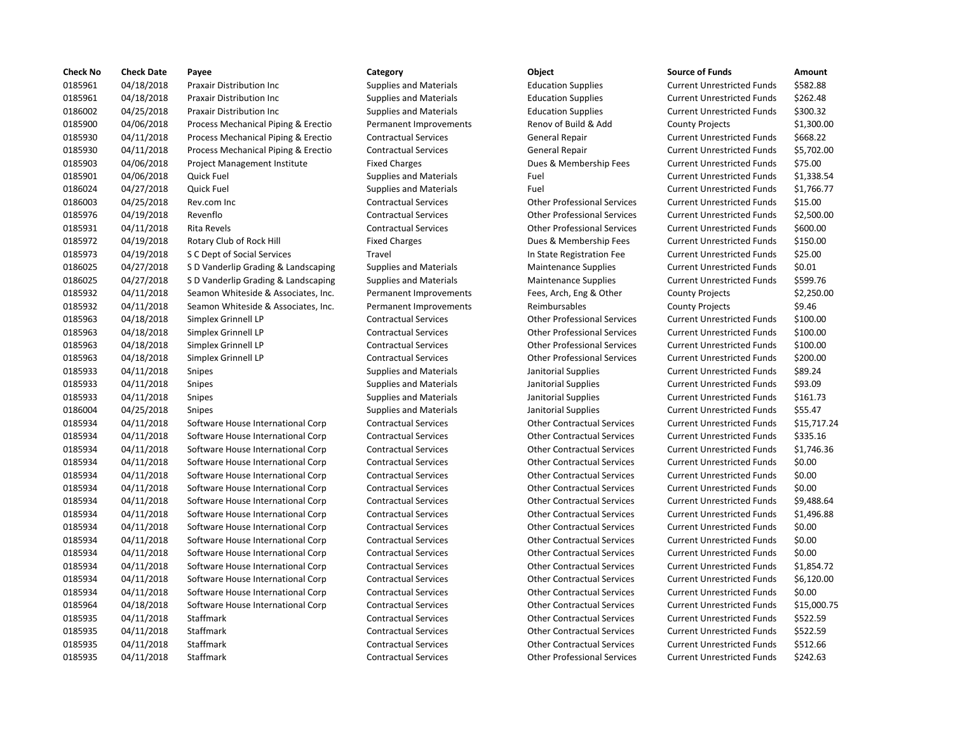| <b>Check No</b> | <b>Check Date</b> | Payee                               | Category                      | Object                             | <b>Source of Funds</b>            | Amount    |
|-----------------|-------------------|-------------------------------------|-------------------------------|------------------------------------|-----------------------------------|-----------|
| 0185961         | 04/18/2018        | Praxair Distribution Inc            | <b>Supplies and Materials</b> | <b>Education Supplies</b>          | <b>Current Unrestricted Funds</b> | \$582.88  |
| 0185961         | 04/18/2018        | Praxair Distribution Inc            | <b>Supplies and Materials</b> | <b>Education Supplies</b>          | <b>Current Unrestricted Funds</b> | \$262.48  |
| 0186002         | 04/25/2018        | Praxair Distribution Inc            | <b>Supplies and Materials</b> | <b>Education Supplies</b>          | <b>Current Unrestricted Funds</b> | \$300.32  |
| 0185900         | 04/06/2018        | Process Mechanical Piping & Erectio | Permanent Improvements        | Renov of Build & Add               | <b>County Projects</b>            | \$1,300.0 |
| 0185930         | 04/11/2018        | Process Mechanical Piping & Erectio | <b>Contractual Services</b>   | <b>General Repair</b>              | <b>Current Unrestricted Funds</b> | \$668.22  |
| 0185930         | 04/11/2018        | Process Mechanical Piping & Erectio | <b>Contractual Services</b>   | General Repair                     | <b>Current Unrestricted Funds</b> | \$5,702.0 |
| 0185903         | 04/06/2018        | Project Management Institute        | <b>Fixed Charges</b>          | Dues & Membership Fees             | <b>Current Unrestricted Funds</b> | \$75.00   |
| 0185901         | 04/06/2018        | Quick Fuel                          | <b>Supplies and Materials</b> | Fuel                               | <b>Current Unrestricted Funds</b> | \$1,338.5 |
| 0186024         | 04/27/2018        | Quick Fuel                          | <b>Supplies and Materials</b> | Fuel                               | <b>Current Unrestricted Funds</b> | \$1,766.7 |
| 0186003         | 04/25/2018        | Rev.com Inc                         | <b>Contractual Services</b>   | <b>Other Professional Services</b> | <b>Current Unrestricted Funds</b> | \$15.00   |
| 0185976         | 04/19/2018        | Revenflo                            | <b>Contractual Services</b>   | <b>Other Professional Services</b> | <b>Current Unrestricted Funds</b> | \$2,500.0 |
| 0185931         | 04/11/2018        | Rita Revels                         | <b>Contractual Services</b>   | <b>Other Professional Services</b> | <b>Current Unrestricted Funds</b> | \$600.00  |
| 0185972         | 04/19/2018        | Rotary Club of Rock Hill            | <b>Fixed Charges</b>          | Dues & Membership Fees             | <b>Current Unrestricted Funds</b> | \$150.00  |
| 0185973         | 04/19/2018        | S C Dept of Social Services         | Travel                        | In State Registration Fee          | <b>Current Unrestricted Funds</b> | \$25.00   |
| 0186025         | 04/27/2018        | S D Vanderlip Grading & Landscaping | <b>Supplies and Materials</b> | <b>Maintenance Supplies</b>        | <b>Current Unrestricted Funds</b> | \$0.01    |
| 0186025         | 04/27/2018        | S D Vanderlip Grading & Landscaping | <b>Supplies and Materials</b> | <b>Maintenance Supplies</b>        | <b>Current Unrestricted Funds</b> | \$599.76  |
| 0185932         | 04/11/2018        | Seamon Whiteside & Associates, Inc. | Permanent Improvements        | Fees, Arch, Eng & Other            | <b>County Projects</b>            | \$2,250.0 |
| 0185932         | 04/11/2018        | Seamon Whiteside & Associates, Inc. | Permanent Improvements        | Reimbursables                      | <b>County Projects</b>            | \$9.46    |
| 0185963         | 04/18/2018        | Simplex Grinnell LP                 | <b>Contractual Services</b>   | <b>Other Professional Services</b> | <b>Current Unrestricted Funds</b> | \$100.00  |
| 0185963         | 04/18/2018        | Simplex Grinnell LP                 | <b>Contractual Services</b>   | <b>Other Professional Services</b> | <b>Current Unrestricted Funds</b> | \$100.00  |
| 0185963         | 04/18/2018        | Simplex Grinnell LP                 | <b>Contractual Services</b>   | <b>Other Professional Services</b> | <b>Current Unrestricted Funds</b> | \$100.00  |
| 0185963         | 04/18/2018        | Simplex Grinnell LP                 | <b>Contractual Services</b>   | <b>Other Professional Services</b> | <b>Current Unrestricted Funds</b> | \$200.00  |
| 0185933         | 04/11/2018        | Snipes                              | <b>Supplies and Materials</b> | Janitorial Supplies                | <b>Current Unrestricted Funds</b> | \$89.24   |
| 0185933         | 04/11/2018        | Snipes                              | <b>Supplies and Materials</b> | Janitorial Supplies                | <b>Current Unrestricted Funds</b> | \$93.09   |
| 0185933         | 04/11/2018        | Snipes                              | <b>Supplies and Materials</b> | Janitorial Supplies                | <b>Current Unrestricted Funds</b> | \$161.73  |
| 0186004         | 04/25/2018        | <b>Snipes</b>                       | <b>Supplies and Materials</b> | Janitorial Supplies                | <b>Current Unrestricted Funds</b> | \$55.47   |
| 0185934         | 04/11/2018        | Software House International Corp   | <b>Contractual Services</b>   | <b>Other Contractual Services</b>  | <b>Current Unrestricted Funds</b> | \$15,717  |
| 0185934         | 04/11/2018        | Software House International Corp   | <b>Contractual Services</b>   | <b>Other Contractual Services</b>  | <b>Current Unrestricted Funds</b> | \$335.16  |
| 0185934         | 04/11/2018        | Software House International Corp   | <b>Contractual Services</b>   | <b>Other Contractual Services</b>  | <b>Current Unrestricted Funds</b> | \$1,746.3 |
| 0185934         | 04/11/2018        | Software House International Corp   | <b>Contractual Services</b>   | <b>Other Contractual Services</b>  | <b>Current Unrestricted Funds</b> | \$0.00    |
| 0185934         | 04/11/2018        | Software House International Corp   | <b>Contractual Services</b>   | <b>Other Contractual Services</b>  | <b>Current Unrestricted Funds</b> | \$0.00    |
| 0185934         | 04/11/2018        | Software House International Corp   | <b>Contractual Services</b>   | <b>Other Contractual Services</b>  | <b>Current Unrestricted Funds</b> | \$0.00    |
| 0185934         | 04/11/2018        | Software House International Corp   | <b>Contractual Services</b>   | <b>Other Contractual Services</b>  | <b>Current Unrestricted Funds</b> | \$9,488.6 |
| 0185934         | 04/11/2018        | Software House International Corp   | <b>Contractual Services</b>   | <b>Other Contractual Services</b>  | <b>Current Unrestricted Funds</b> | \$1,496.8 |
| 0185934         | 04/11/2018        | Software House International Corp   | <b>Contractual Services</b>   | <b>Other Contractual Services</b>  | <b>Current Unrestricted Funds</b> | \$0.00    |
| 0185934         | 04/11/2018        | Software House International Corp   | <b>Contractual Services</b>   | <b>Other Contractual Services</b>  | <b>Current Unrestricted Funds</b> | \$0.00    |
| 0185934         | 04/11/2018        | Software House International Corp   | <b>Contractual Services</b>   | <b>Other Contractual Services</b>  | <b>Current Unrestricted Funds</b> | \$0.00    |
| 0185934         | 04/11/2018        | Software House International Corp   | <b>Contractual Services</b>   | <b>Other Contractual Services</b>  | <b>Current Unrestricted Funds</b> | \$1,854.7 |
| 0185934         | 04/11/2018        | Software House International Corp   | <b>Contractual Services</b>   | <b>Other Contractual Services</b>  | <b>Current Unrestricted Funds</b> | \$6,120.0 |
| 0185934         | 04/11/2018        | Software House International Corp   | <b>Contractual Services</b>   | <b>Other Contractual Services</b>  | <b>Current Unrestricted Funds</b> | \$0.00    |
| 0185964         | 04/18/2018        | Software House International Corp   | <b>Contractual Services</b>   | <b>Other Contractual Services</b>  | <b>Current Unrestricted Funds</b> | \$15,000  |
| 0185935         | 04/11/2018        | Staffmark                           | <b>Contractual Services</b>   | <b>Other Contractual Services</b>  | <b>Current Unrestricted Funds</b> | \$522.59  |
| 0185935         | 04/11/2018        | Staffmark                           | <b>Contractual Services</b>   | <b>Other Contractual Services</b>  | <b>Current Unrestricted Funds</b> | \$522.59  |
| 0185935         | 04/11/2018        | Staffmark                           | <b>Contractual Services</b>   | <b>Other Contractual Services</b>  | <b>Current Unrestricted Funds</b> | \$512.66  |
| 0185935         | 04/11/2018        | Staffmark                           | <b>Contractual Services</b>   | <b>Other Professional Services</b> | <b>Current Unrestricted Funds</b> | \$242.63  |
|                 |                   |                                     |                               |                                    |                                   |           |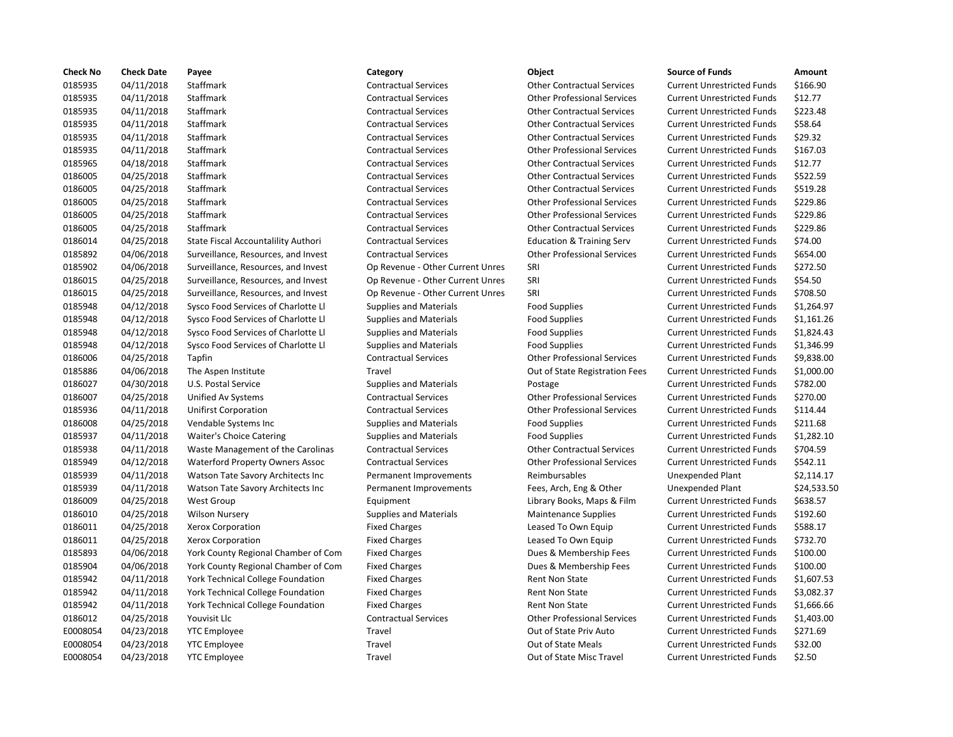| <b>Check No</b> | <b>Check Date</b> | Payee                                  | Category                         | Object                               | <b>Source of Funds</b>            | Amount     |
|-----------------|-------------------|----------------------------------------|----------------------------------|--------------------------------------|-----------------------------------|------------|
| 0185935         | 04/11/2018        | Staffmark                              | <b>Contractual Services</b>      | <b>Other Contractual Services</b>    | <b>Current Unrestricted Funds</b> | \$166.90   |
| 0185935         | 04/11/2018        | Staffmark                              | <b>Contractual Services</b>      | <b>Other Professional Services</b>   | <b>Current Unrestricted Funds</b> | \$12.77    |
| 0185935         | 04/11/2018        | Staffmark                              | <b>Contractual Services</b>      | <b>Other Contractual Services</b>    | <b>Current Unrestricted Funds</b> | \$223.48   |
| 0185935         | 04/11/2018        | Staffmark                              | <b>Contractual Services</b>      | <b>Other Contractual Services</b>    | <b>Current Unrestricted Funds</b> | \$58.64    |
| 0185935         | 04/11/2018        | Staffmark                              | <b>Contractual Services</b>      | <b>Other Contractual Services</b>    | <b>Current Unrestricted Funds</b> | \$29.32    |
| 0185935         | 04/11/2018        | Staffmark                              | <b>Contractual Services</b>      | <b>Other Professional Services</b>   | <b>Current Unrestricted Funds</b> | \$167.03   |
| 0185965         | 04/18/2018        | Staffmark                              | <b>Contractual Services</b>      | <b>Other Contractual Services</b>    | <b>Current Unrestricted Funds</b> | \$12.77    |
| 0186005         | 04/25/2018        | Staffmark                              | <b>Contractual Services</b>      | <b>Other Contractual Services</b>    | <b>Current Unrestricted Funds</b> | \$522.59   |
| 0186005         | 04/25/2018        | Staffmark                              | <b>Contractual Services</b>      | <b>Other Contractual Services</b>    | <b>Current Unrestricted Funds</b> | \$519.28   |
| 0186005         | 04/25/2018        | Staffmark                              | <b>Contractual Services</b>      | <b>Other Professional Services</b>   | <b>Current Unrestricted Funds</b> | \$229.86   |
| 0186005         | 04/25/2018        | Staffmark                              | <b>Contractual Services</b>      | <b>Other Professional Services</b>   | <b>Current Unrestricted Funds</b> | \$229.86   |
| 0186005         | 04/25/2018        | Staffmark                              | <b>Contractual Services</b>      | <b>Other Contractual Services</b>    | <b>Current Unrestricted Funds</b> | \$229.86   |
| 0186014         | 04/25/2018        | State Fiscal Accountalility Authori    | <b>Contractual Services</b>      | <b>Education &amp; Training Serv</b> | <b>Current Unrestricted Funds</b> | \$74.00    |
| 0185892         | 04/06/2018        | Surveillance, Resources, and Invest    | <b>Contractual Services</b>      | <b>Other Professional Services</b>   | <b>Current Unrestricted Funds</b> | \$654.00   |
| 0185902         | 04/06/2018        | Surveillance, Resources, and Invest    | Op Revenue - Other Current Unres | SRI                                  | <b>Current Unrestricted Funds</b> | \$272.50   |
| 0186015         | 04/25/2018        | Surveillance, Resources, and Invest    | Op Revenue - Other Current Unres | SRI                                  | <b>Current Unrestricted Funds</b> | \$54.50    |
| 0186015         | 04/25/2018        | Surveillance, Resources, and Invest    | Op Revenue - Other Current Unres | SRI                                  | <b>Current Unrestricted Funds</b> | \$708.50   |
| 0185948         | 04/12/2018        | Sysco Food Services of Charlotte Ll    | <b>Supplies and Materials</b>    | Food Supplies                        | <b>Current Unrestricted Funds</b> | \$1,264.9  |
| 0185948         | 04/12/2018        | Sysco Food Services of Charlotte Ll    | <b>Supplies and Materials</b>    | <b>Food Supplies</b>                 | <b>Current Unrestricted Funds</b> | \$1,161.2  |
| 0185948         | 04/12/2018        | Sysco Food Services of Charlotte Ll    | <b>Supplies and Materials</b>    | Food Supplies                        | <b>Current Unrestricted Funds</b> | \$1,824.4  |
| 0185948         | 04/12/2018        | Sysco Food Services of Charlotte Ll    | <b>Supplies and Materials</b>    | <b>Food Supplies</b>                 | <b>Current Unrestricted Funds</b> | \$1,346.9  |
| 0186006         | 04/25/2018        | Tapfin                                 | <b>Contractual Services</b>      | <b>Other Professional Services</b>   | <b>Current Unrestricted Funds</b> | \$9,838.0  |
| 0185886         | 04/06/2018        | The Aspen Institute                    | Travel                           | Out of State Registration Fees       | <b>Current Unrestricted Funds</b> | $$1,000$ . |
| 0186027         | 04/30/2018        | U.S. Postal Service                    | <b>Supplies and Materials</b>    | Postage                              | <b>Current Unrestricted Funds</b> | \$782.00   |
| 0186007         | 04/25/2018        | Unified Av Systems                     | <b>Contractual Services</b>      | <b>Other Professional Services</b>   | <b>Current Unrestricted Funds</b> | \$270.00   |
| 0185936         | 04/11/2018        | <b>Unifirst Corporation</b>            | <b>Contractual Services</b>      | <b>Other Professional Services</b>   | <b>Current Unrestricted Funds</b> | \$114.44   |
| 0186008         | 04/25/2018        | Vendable Systems Inc                   | <b>Supplies and Materials</b>    | <b>Food Supplies</b>                 | <b>Current Unrestricted Funds</b> | \$211.68   |
| 0185937         | 04/11/2018        | <b>Waiter's Choice Catering</b>        | <b>Supplies and Materials</b>    | Food Supplies                        | <b>Current Unrestricted Funds</b> | \$1,282.1  |
| 0185938         | 04/11/2018        | Waste Management of the Carolinas      | <b>Contractual Services</b>      | <b>Other Contractual Services</b>    | <b>Current Unrestricted Funds</b> | \$704.59   |
| 0185949         | 04/12/2018        | <b>Waterford Property Owners Assoc</b> | <b>Contractual Services</b>      | <b>Other Professional Services</b>   | <b>Current Unrestricted Funds</b> | \$542.11   |
| 0185939         | 04/11/2018        | Watson Tate Savory Architects Inc      | Permanent Improvements           | Reimbursables                        | <b>Unexpended Plant</b>           | \$2,114.1  |
| 0185939         | 04/11/2018        | Watson Tate Savory Architects Inc      | Permanent Improvements           | Fees, Arch, Eng & Other              | <b>Unexpended Plant</b>           | \$24,533   |
| 0186009         | 04/25/2018        | <b>West Group</b>                      | Equipment                        | Library Books, Maps & Film           | <b>Current Unrestricted Funds</b> | \$638.57   |
| 0186010         | 04/25/2018        | <b>Wilson Nursery</b>                  | <b>Supplies and Materials</b>    | <b>Maintenance Supplies</b>          | <b>Current Unrestricted Funds</b> | \$192.60   |
| 0186011         | 04/25/2018        | Xerox Corporation                      | <b>Fixed Charges</b>             | Leased To Own Equip                  | <b>Current Unrestricted Funds</b> | \$588.17   |
| 0186011         | 04/25/2018        | Xerox Corporation                      | <b>Fixed Charges</b>             | Leased To Own Equip                  | <b>Current Unrestricted Funds</b> | \$732.70   |
| 0185893         | 04/06/2018        | York County Regional Chamber of Com    | <b>Fixed Charges</b>             | Dues & Membership Fees               | <b>Current Unrestricted Funds</b> | \$100.00   |
| 0185904         | 04/06/2018        | York County Regional Chamber of Com    | <b>Fixed Charges</b>             | Dues & Membership Fees               | <b>Current Unrestricted Funds</b> | \$100.00   |
| 0185942         | 04/11/2018        | York Technical College Foundation      | <b>Fixed Charges</b>             | Rent Non State                       | <b>Current Unrestricted Funds</b> | \$1,607.5  |
| 0185942         | 04/11/2018        | York Technical College Foundation      | <b>Fixed Charges</b>             | Rent Non State                       | <b>Current Unrestricted Funds</b> | \$3,082.3  |
| 0185942         | 04/11/2018        | York Technical College Foundation      | <b>Fixed Charges</b>             | Rent Non State                       | <b>Current Unrestricted Funds</b> | \$1,666.6  |
| 0186012         | 04/25/2018        | Youvisit Llc                           | <b>Contractual Services</b>      | <b>Other Professional Services</b>   | <b>Current Unrestricted Funds</b> | \$1,403.0  |
| E0008054        | 04/23/2018        | <b>YTC Employee</b>                    | Travel                           | Out of State Priv Auto               | <b>Current Unrestricted Funds</b> | \$271.69   |
| E0008054        | 04/23/2018        | <b>YTC Employee</b>                    | Travel                           | <b>Out of State Meals</b>            | <b>Current Unrestricted Funds</b> | \$32.00    |
| E0008054        | 04/23/2018        | <b>YTC Employee</b>                    | Travel                           | Out of State Misc Travel             | <b>Current Unrestricted Funds</b> | \$2.50     |
|                 |                   |                                        |                                  |                                      |                                   |            |

## 0185935 04/11/2018 Staffmark Contractual Services Other Contractual Services Current Unrestricted Funds \$166.90 0185935 04/11/2018 Staffmark Contractual Services Other Professional Services Current Unrestricted Funds \$12.77 0185935 04/11/2018 Staffmark Contractual Services Other Contractual Services Current Unrestricted Funds \$223.48 0185935 04/11/2018 Staffmark Contractual Services Other Contractual Services Current Unrestricted Funds \$58.64 0185935 04/11/2018 Staffmark Contractual Services Other Contractual Services Current Unrestricted Funds \$29.32 0185935 04/11/2018 Staffmark Contractual Services Other Professional Services Current Unrestricted Funds \$167.03 0185965 04/18/2018 Staffmark Contractual Services Other Contractual Services Current Unrestricted Funds \$12.77 0186005 04/25/2018 Staffmark Contractual Services Other Contractual Services Current Unrestricted Funds \$522.59 0186005 04/25/2018 Staffmark Contractual Services Other Contractual Services Current Unrestricted Funds \$519.28 0186005 04/25/2018 Staffmark Contractual Services Other Professional Services Current Unrestricted Funds \$229.86 0186005 04/25/2018 Staffmark Contractual Services Other Professional Services Current Unrestricted Funds \$229.86 0186005 04/25/2018 Staffmark Contractual Services Other Contractual Services Current Unrestricted Funds \$229.86 0186014 04/25/2018 State Fiscal Accountalility Authori Contractual Services Education & Training Serv Current Unrestricted Funds \$74.00 0185892 04/06/2018 Surveillance, Resources, and Invest Contractual Services Other Professional Services Current Unrestricted Funds \$654.00 t Op Revenue - Other Current Unres SRI Current Current Unrestricted Funds \$272.50 t Op Revenue - Other Current Unres SRI Current Unres Current Unrestricted Funds \$54.50 decompony of the Current Unres SRI Current Current Unrestricted Funds \$708.50 0185948 04/12/2018 Sysco Food Services of Charlotte Ll Supplies and Materials Food Supplies Current Unrestricted Funds \$1,264.97 Supplies and Materials **Supplies Current Unrestricted Funds** 51,161.26 0185948 04/12/2018 Sysco Food Services of Charlotte Ll Supplies and Materials Food Supplies Current Unrestricted Funds \$1,824.43 0185948 04/12/2018 Sysco Food Services of Charlotte Ll Supplies and Materials Food Supplies Current Unrestricted Funds \$1,346.99 0186006 04/25/2018 Tapfin Contractual Services Other Professional Services Current Unrestricted Funds \$9,838.00 Travel **1.2018 Travel Current Unrestricted Funds** 51,000.00 Supplies and Materials **Current Unrestricted Funds** 5782.00 0186007 04/25/2018 Unified Av Systems Contractual Services Other Professional Services Current Unrestricted Funds \$270.00 0185936 04/11/2018 Unifirst Corporation Contractual Services Other Professional Services Current Unrestricted Funds \$114.44 0186008 04/25/2018 Vendable Systems Inc Supplies and Materials Food Supplies Current Unrestricted Funds \$211.68 0185937 04/11/2018 Waiter's Choice Catering Supplies and Materials Food Supplies Current Unrestricted Funds \$1,282.10 nas Contractual Services Other Contractual Services Current Unrestricted Funds \$704.59 0185949 04/12/2018 Waterford Property Owners Assoc Contractual Services Other Professional Services Current Unrestricted Funds \$542.11 Permanent Improvements Reimbursables Unexpended Plant \$2,114.17 Permanent Improvements Fees, Arch, Eng & Other Unexpended Plant \$24,533.50 0186009 04/25/2018 West Group Equipment Library Books, Maps & Film Current Unrestricted Funds \$638.57 0186010 04/25/2018 Wilson Nursery Supplies and Materials Maintenance Supplies Current Unrestricted Funds \$192.60 Fixed Charges The Charges Leased To Own Equip Current Unrestricted Funds \$588.17 Fixed Charges **Example 2018** Leased To Own Equip Current Unrestricted Funds \$732.70 Com Fixed Charges The Summan Chamber of Com Current Unrestricted Funds \$100.00 Com Fixed Charges The Supers County Regional Com Pixed Charges Current Unrestricted Funds \$100.00 Fixed Charges Technical College Foundation Fixed Current Unrestricted Funds \$1,607.53 Fixed Charges **Fixed Charges Rent Non State** Current Unrestricted Funds \$3,082.37 Fixed Charges **Fixed Charges Rent Non State** Current Unrestricted Funds \$1,666.66 0186012 04/25/2018 Youvisit Llc Contractual Services Other Professional Services Current Unrestricted Funds \$1,403.00 Travel **EXECO ENDICATE:** Out of State Priv Auto Current Unrestricted Funds \$271.69 Travel **EXA/2018 Travel COUS** Out of State Meals Current Unrestricted Funds \$32.00 Travel **EXA/2018 COM** Out of State Misc Travel Current Unrestricted Funds \$2.50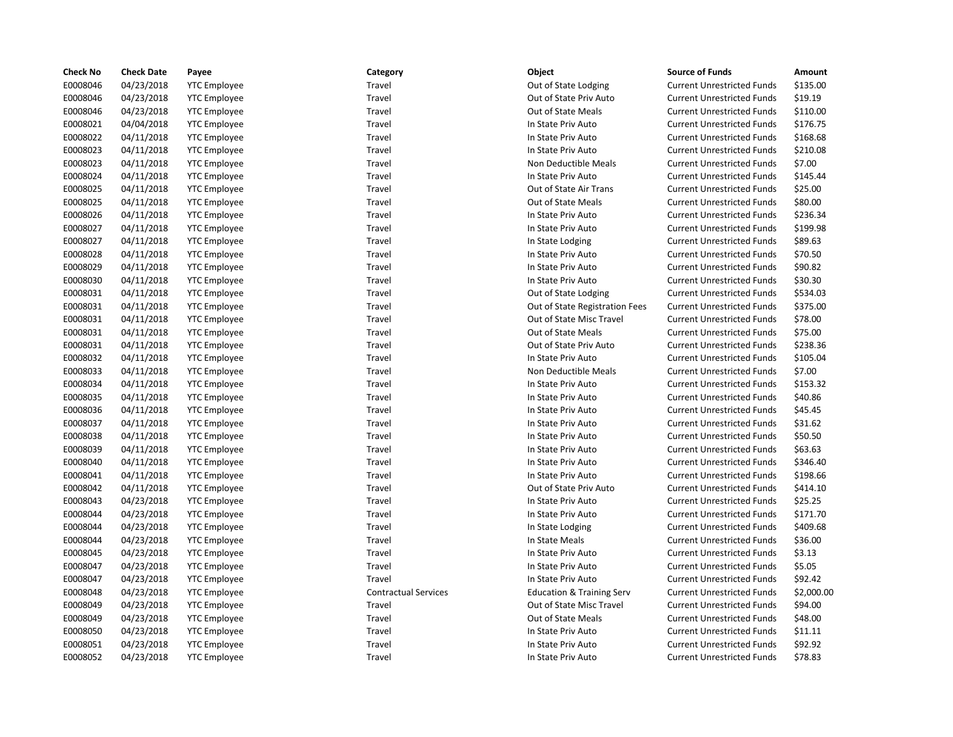| <b>Check No</b> | <b>Check Date</b> | Payee               | Category                    | Object                               | <b>Source of Funds</b>            | Amount     |
|-----------------|-------------------|---------------------|-----------------------------|--------------------------------------|-----------------------------------|------------|
| E0008046        | 04/23/2018        | <b>YTC Employee</b> | Travel                      | Out of State Lodging                 | <b>Current Unrestricted Funds</b> | \$135.00   |
| E0008046        | 04/23/2018        | <b>YTC Employee</b> | Travel                      | Out of State Priv Auto               | <b>Current Unrestricted Funds</b> | \$19.19    |
| E0008046        | 04/23/2018        | <b>YTC Employee</b> | Travel                      | <b>Out of State Meals</b>            | <b>Current Unrestricted Funds</b> | \$110.00   |
| E0008021        | 04/04/2018        | <b>YTC Employee</b> | Travel                      | In State Priv Auto                   | <b>Current Unrestricted Funds</b> | \$176.75   |
| E0008022        | 04/11/2018        | <b>YTC Employee</b> | Travel                      | In State Priv Auto                   | <b>Current Unrestricted Funds</b> | \$168.68   |
| E0008023        | 04/11/2018        | <b>YTC Employee</b> | Travel                      | In State Priv Auto                   | <b>Current Unrestricted Funds</b> | \$210.08   |
| E0008023        | 04/11/2018        | <b>YTC Employee</b> | Travel                      | Non Deductible Meals                 | <b>Current Unrestricted Funds</b> | \$7.00     |
| E0008024        | 04/11/2018        | <b>YTC Employee</b> | Travel                      | In State Priv Auto                   | <b>Current Unrestricted Funds</b> | \$145.44   |
| E0008025        | 04/11/2018        | <b>YTC Employee</b> | Travel                      | Out of State Air Trans               | <b>Current Unrestricted Funds</b> | \$25.00    |
| E0008025        | 04/11/2018        | <b>YTC Employee</b> | Travel                      | Out of State Meals                   | <b>Current Unrestricted Funds</b> | \$80.00    |
| E0008026        | 04/11/2018        | <b>YTC Employee</b> | Travel                      | In State Priv Auto                   | <b>Current Unrestricted Funds</b> | \$236.34   |
| E0008027        | 04/11/2018        | <b>YTC Employee</b> | Travel                      | In State Priv Auto                   | <b>Current Unrestricted Funds</b> | \$199.98   |
| E0008027        | 04/11/2018        | <b>YTC Employee</b> | Travel                      | In State Lodging                     | <b>Current Unrestricted Funds</b> | \$89.63    |
| E0008028        | 04/11/2018        | <b>YTC Employee</b> | Travel                      | In State Priv Auto                   | <b>Current Unrestricted Funds</b> | \$70.50    |
| E0008029        | 04/11/2018        | <b>YTC Employee</b> | Travel                      | In State Priv Auto                   | <b>Current Unrestricted Funds</b> | \$90.82    |
| E0008030        | 04/11/2018        | <b>YTC Employee</b> | Travel                      | In State Priv Auto                   | <b>Current Unrestricted Funds</b> | \$30.30    |
| E0008031        | 04/11/2018        | <b>YTC Employee</b> | Travel                      | Out of State Lodging                 | <b>Current Unrestricted Funds</b> | \$534.03   |
| E0008031        | 04/11/2018        | <b>YTC Employee</b> | Travel                      | Out of State Registration Fees       | <b>Current Unrestricted Funds</b> | \$375.00   |
| E0008031        | 04/11/2018        | <b>YTC Employee</b> | Travel                      | Out of State Misc Travel             | <b>Current Unrestricted Funds</b> | \$78.00    |
| E0008031        | 04/11/2018        | <b>YTC Employee</b> | Travel                      | Out of State Meals                   | <b>Current Unrestricted Funds</b> | \$75.00    |
| E0008031        | 04/11/2018        | <b>YTC Employee</b> | Travel                      | Out of State Priv Auto               | <b>Current Unrestricted Funds</b> | \$238.36   |
| E0008032        | 04/11/2018        | <b>YTC Employee</b> | Travel                      | In State Priv Auto                   | <b>Current Unrestricted Funds</b> | \$105.04   |
| E0008033        | 04/11/2018        | <b>YTC Employee</b> | Travel                      | Non Deductible Meals                 | <b>Current Unrestricted Funds</b> | \$7.00     |
| E0008034        | 04/11/2018        | <b>YTC Employee</b> | Travel                      | In State Priv Auto                   | <b>Current Unrestricted Funds</b> | \$153.32   |
| E0008035        | 04/11/2018        | <b>YTC Employee</b> | Travel                      | In State Priv Auto                   | <b>Current Unrestricted Funds</b> | \$40.86    |
| E0008036        | 04/11/2018        | <b>YTC Employee</b> | Travel                      | In State Priv Auto                   | <b>Current Unrestricted Funds</b> | \$45.45    |
| E0008037        | 04/11/2018        | <b>YTC Employee</b> | Travel                      | In State Priv Auto                   | <b>Current Unrestricted Funds</b> | \$31.62    |
| E0008038        | 04/11/2018        | <b>YTC Employee</b> | Travel                      | In State Priv Auto                   | <b>Current Unrestricted Funds</b> | \$50.50    |
| E0008039        | 04/11/2018        | <b>YTC Employee</b> | Travel                      | In State Priv Auto                   | <b>Current Unrestricted Funds</b> | \$63.63    |
| E0008040        | 04/11/2018        | <b>YTC Employee</b> | Travel                      | In State Priv Auto                   | <b>Current Unrestricted Funds</b> | \$346.40   |
| E0008041        | 04/11/2018        | <b>YTC Employee</b> | Travel                      | In State Priv Auto                   | <b>Current Unrestricted Funds</b> | \$198.66   |
| E0008042        | 04/11/2018        | <b>YTC Employee</b> | Travel                      | Out of State Priv Auto               | <b>Current Unrestricted Funds</b> | \$414.10   |
| E0008043        | 04/23/2018        | <b>YTC Employee</b> | Travel                      | In State Priv Auto                   | <b>Current Unrestricted Funds</b> | \$25.25    |
| E0008044        | 04/23/2018        | <b>YTC Employee</b> | Travel                      | In State Priv Auto                   | <b>Current Unrestricted Funds</b> | \$171.70   |
| E0008044        | 04/23/2018        | <b>YTC Employee</b> | Travel                      | In State Lodging                     | <b>Current Unrestricted Funds</b> | \$409.68   |
| E0008044        | 04/23/2018        | <b>YTC Employee</b> | Travel                      | In State Meals                       | <b>Current Unrestricted Funds</b> | \$36.00    |
| E0008045        | 04/23/2018        | <b>YTC Employee</b> | Travel                      | In State Priv Auto                   | <b>Current Unrestricted Funds</b> | \$3.13     |
| E0008047        | 04/23/2018        | <b>YTC Employee</b> | Travel                      | In State Priv Auto                   | <b>Current Unrestricted Funds</b> | \$5.05     |
| E0008047        | 04/23/2018        | <b>YTC Employee</b> | Travel                      | In State Priv Auto                   | <b>Current Unrestricted Funds</b> | \$92.42    |
| E0008048        | 04/23/2018        | <b>YTC Employee</b> | <b>Contractual Services</b> | <b>Education &amp; Training Serv</b> | <b>Current Unrestricted Funds</b> | \$2,000.00 |
| E0008049        | 04/23/2018        | <b>YTC Employee</b> | Travel                      | Out of State Misc Travel             | <b>Current Unrestricted Funds</b> | \$94.00    |
| E0008049        | 04/23/2018        | <b>YTC Employee</b> | Travel                      | Out of State Meals                   | <b>Current Unrestricted Funds</b> | \$48.00    |
| E0008050        | 04/23/2018        | <b>YTC Employee</b> | Travel                      | In State Priv Auto                   | <b>Current Unrestricted Funds</b> | \$11.11    |
| E0008051        | 04/23/2018        | <b>YTC Employee</b> | Travel                      | In State Priv Auto                   | <b>Current Unrestricted Funds</b> | \$92.92    |
| E0008052        | 04/23/2018        | <b>YTC Employee</b> | Travel                      | In State Priv Auto                   | <b>Current Unrestricted Funds</b> | \$78.83    |
|                 |                   |                     |                             |                                      |                                   |            |